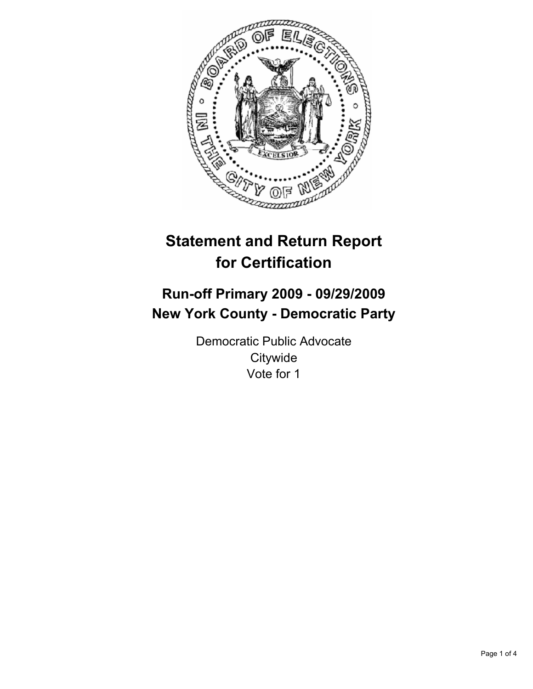

# **Statement and Return Report for Certification**

# **Run-off Primary 2009 - 09/29/2009 New York County - Democratic Party**

Democratic Public Advocate **Citywide** Vote for 1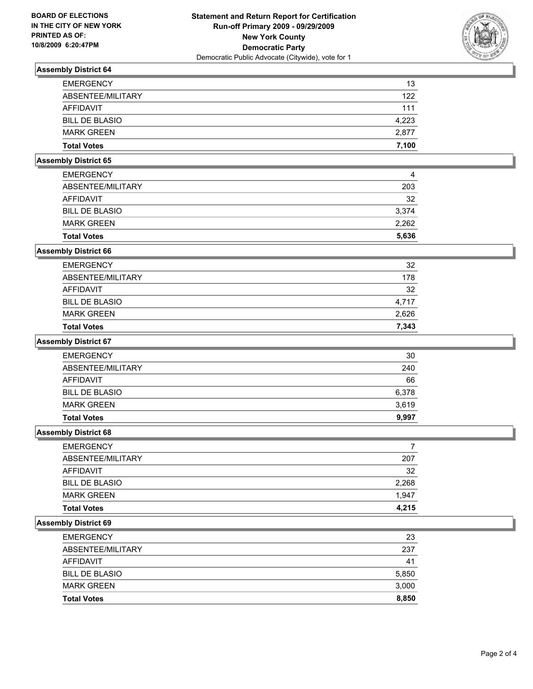

## **Assembly District 64**

| <b>EMERGENCY</b>      | 13    |
|-----------------------|-------|
| ABSENTEE/MILITARY     | 122   |
| AFFIDAVIT             | 111   |
| <b>BILL DE BLASIO</b> | 4.223 |
| <b>MARK GREEN</b>     | 2.877 |
| <b>Total Votes</b>    | 7.100 |

## **Assembly District 65**

| <b>Total Votes</b>    | 5,636 |
|-----------------------|-------|
| <b>MARK GREEN</b>     | 2.262 |
| <b>BILL DE BLASIO</b> | 3.374 |
| AFFIDAVIT             | 32    |
| ABSENTEE/MILITARY     | 203   |
| <b>EMERGENCY</b>      | 4     |

### **Assembly District 66**

| <b>Total Votes</b>    | 7.343 |
|-----------------------|-------|
| <b>MARK GREEN</b>     | 2,626 |
| <b>BILL DE BLASIO</b> | 4.717 |
| AFFIDAVIT             | 32    |
| ABSENTEE/MILITARY     | 178   |
| <b>EMERGENCY</b>      | 32    |

#### **Assembly District 67**

| <b>EMERGENCY</b>      | 30    |
|-----------------------|-------|
| ABSENTEE/MILITARY     | 240   |
| AFFIDAVIT             | 66    |
| <b>BILL DE BLASIO</b> | 6,378 |
| <b>MARK GREEN</b>     | 3,619 |
| <b>Total Votes</b>    | 9.997 |

#### **Assembly District 68**

| <b>Total Votes</b>    | 4.215 |
|-----------------------|-------|
| <b>MARK GREEN</b>     | 1,947 |
| <b>BILL DE BLASIO</b> | 2,268 |
| <b>AFFIDAVIT</b>      | 32    |
| ABSENTEE/MILITARY     | 207   |
| <b>EMERGENCY</b>      |       |

#### **Assembly District 69**

| <b>Total Votes</b>    | 8,850 |
|-----------------------|-------|
| <b>MARK GREEN</b>     | 3,000 |
| <b>BILL DE BLASIO</b> | 5,850 |
| <b>AFFIDAVIT</b>      | 41    |
| ABSENTEE/MILITARY     | 237   |
| <b>EMERGENCY</b>      | 23    |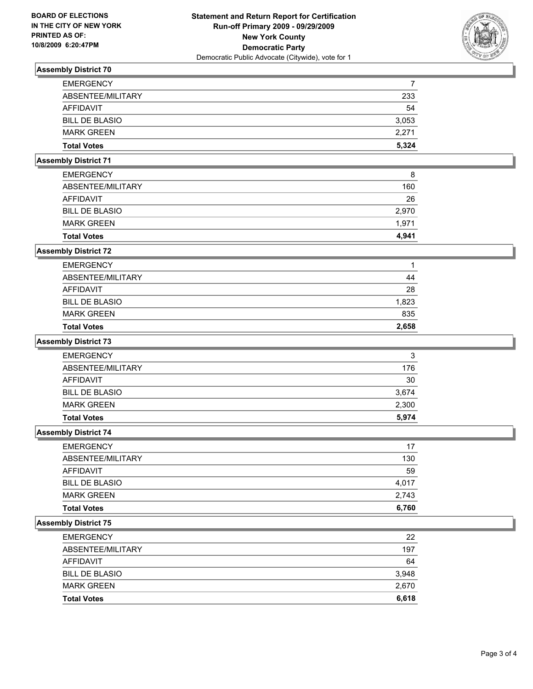

## **Assembly District 70**

| <b>EMERGENCY</b>      |       |
|-----------------------|-------|
| ABSENTEE/MILITARY     | 233   |
| AFFIDAVIT             | 54    |
| <b>BILL DE BLASIO</b> | 3,053 |
| <b>MARK GREEN</b>     | 2,271 |
| <b>Total Votes</b>    | 5.324 |

## **Assembly District 71**

| <b>EMERGENCY</b>      | 8     |
|-----------------------|-------|
|                       |       |
| ABSENTEE/MILITARY     | 160   |
| AFFIDAVIT             | 26    |
|                       |       |
| <b>BILL DE BLASIO</b> | 2.970 |
|                       |       |
| <b>MARK GREEN</b>     | 1.971 |
|                       |       |
| <b>Total Votes</b>    | 4.941 |

## **Assembly District 72**

| <b>Total Votes</b>    | 2,658 |
|-----------------------|-------|
| <b>MARK GREEN</b>     | 835   |
| <b>BILL DE BLASIO</b> | 1,823 |
| AFFIDAVIT             | 28    |
| ABSENTEE/MILITARY     | 44    |
| <b>EMERGENCY</b>      |       |

### **Assembly District 73**

| <b>Total Votes</b>    | 5.974 |
|-----------------------|-------|
| <b>MARK GREEN</b>     | 2,300 |
| <b>BILL DE BLASIO</b> | 3,674 |
| <b>AFFIDAVIT</b>      | 30    |
| ABSENTEE/MILITARY     | 176   |
| <b>EMERGENCY</b>      | 3     |

#### **Assembly District 74**

| <b>EMERGENCY</b>      | 17    |
|-----------------------|-------|
| ABSENTEE/MILITARY     | 130   |
| <b>AFFIDAVIT</b>      | 59    |
| <b>BILL DE BLASIO</b> | 4,017 |
| <b>MARK GREEN</b>     | 2,743 |
| <b>Total Votes</b>    | 6,760 |

#### **Assembly District 75**

| <b>Total Votes</b>    | 6.618 |
|-----------------------|-------|
| <b>MARK GREEN</b>     | 2,670 |
| <b>BILL DE BLASIO</b> | 3,948 |
| AFFIDAVIT             | 64    |
| ABSENTEE/MILITARY     | 197   |
| <b>EMERGENCY</b>      | 22    |